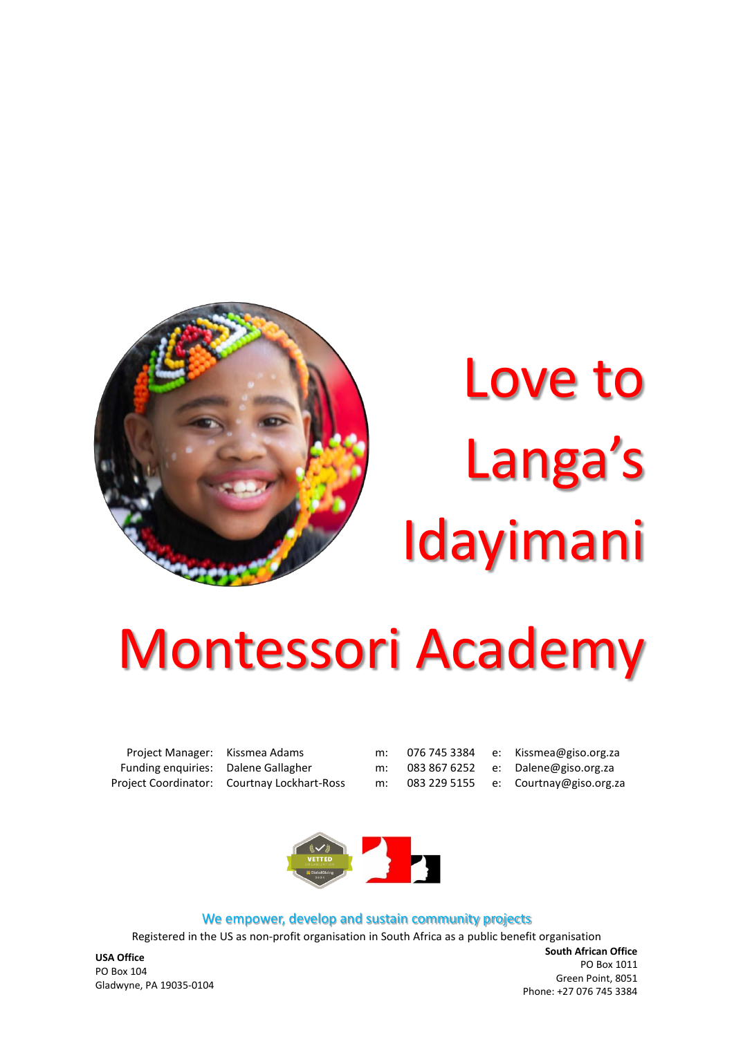

# Love to Langa's Idayimani

## Montessori Academy

Funding enquiries: Dalene Gallagher m: 083 867 6252 e: Dalene@giso.org.za Project Coordinator: Courtnay Lockhart-Ross m: 083 229 5155 e: Courtnay@giso.org.za

Project Manager: Kissmea Adams m: 076 745 3384 e: Kissmea@giso.org.za



#### We empower, develop and sustain community projects

Registered in the US as non-profit organisation in South Africa as a public benefit organisation

**USA Office** PO Box 104 Gladwyne, PA 19035-0104

**South African Office** PO Box 1011 Green Point, 8051 Phone: +27 076 745 3384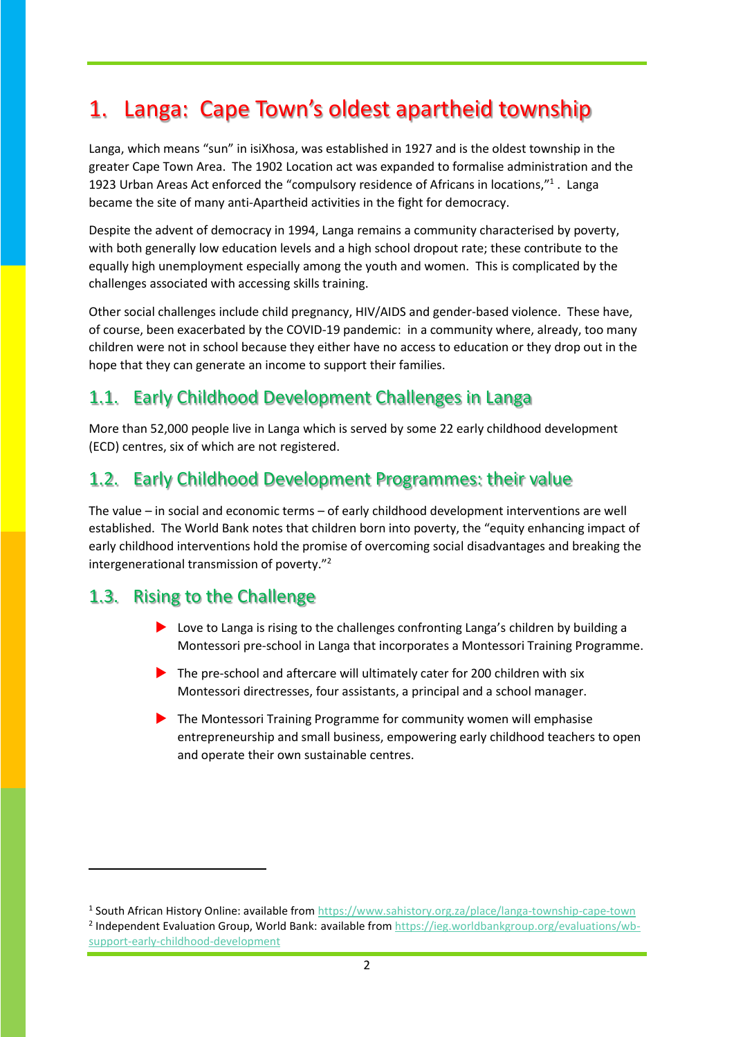## 1. Langa: Cape Town's oldest apartheid township

Langa, which means "sun" in isiXhosa, was established in 1927 and is the oldest township in the greater Cape Town Area. The 1902 Location act was expanded to formalise administration and the 1923 Urban Areas Act enforced the "compulsory residence of Africans in locations,"<sup>1</sup>. Langa became the site of many anti-Apartheid activities in the fight for democracy.

Despite the advent of democracy in 1994, Langa remains a community characterised by poverty, with both generally low education levels and a high school dropout rate; these contribute to the equally high unemployment especially among the youth and women. This is complicated by the challenges associated with accessing skills training.

Other social challenges include child pregnancy, HIV/AIDS and gender-based violence. These have, of course, been exacerbated by the COVID-19 pandemic: in a community where, already, too many children were not in school because they either have no access to education or they drop out in the hope that they can generate an income to support their families.

## 1.1. Early Childhood Development Challenges in Langa

More than 52,000 people live in Langa which is served by some 22 early childhood development (ECD) centres, six of which are not registered.

## 1.2. Early Childhood Development Programmes: their value

The value – in social and economic terms – of early childhood development interventions are well established. The World Bank notes that children born into poverty, the "equity enhancing impact of early childhood interventions hold the promise of overcoming social disadvantages and breaking the intergenerational transmission of poverty."<sup>2</sup>

## 1.3. Rising to the Challenge

- Love to Langa is rising to the challenges confronting Langa's children by building a Montessori pre-school in Langa that incorporates a Montessori Training Programme.
- $\triangleright$  The pre-school and aftercare will ultimately cater for 200 children with six Montessori directresses, four assistants, a principal and a school manager.
- The Montessori Training Programme for community women will emphasise entrepreneurship and small business, empowering early childhood teachers to open and operate their own sustainable centres.

<sup>&</sup>lt;sup>1</sup> South African History Online: available from<https://www.sahistory.org.za/place/langa-township-cape-town> <sup>2</sup> Independent Evaluation Group, World Bank: available from [https://ieg.worldbankgroup.org/evaluations/wb](https://ieg.worldbankgroup.org/evaluations/wb-support-early-childhood-development)[support-early-childhood-development](https://ieg.worldbankgroup.org/evaluations/wb-support-early-childhood-development)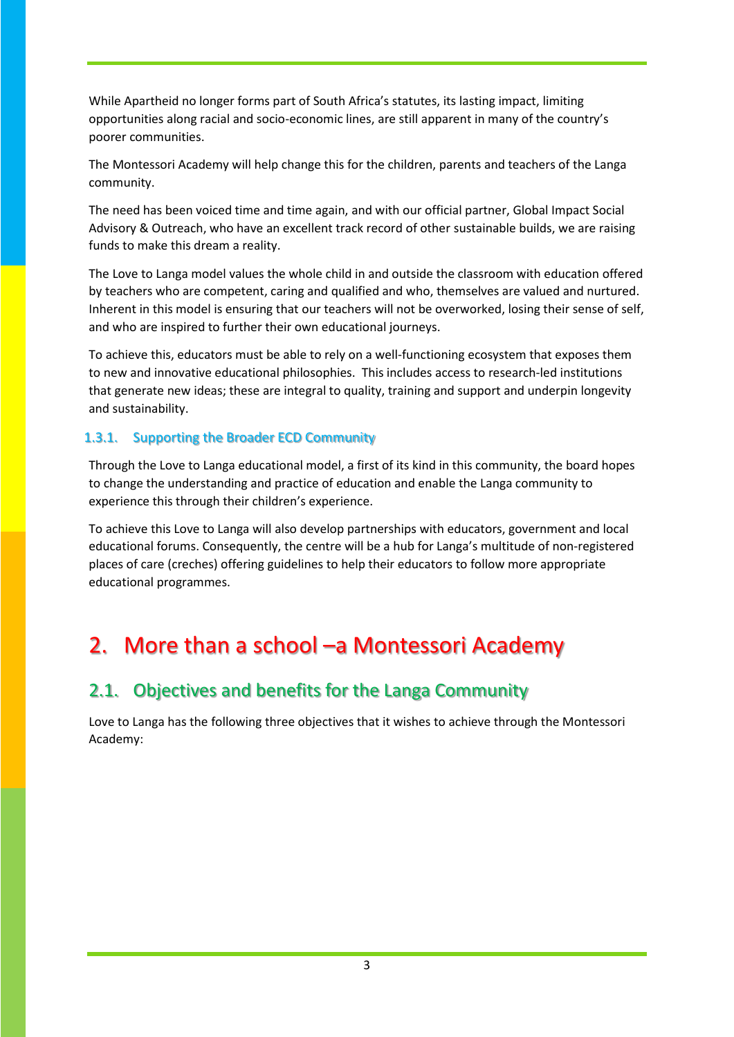While Apartheid no longer forms part of South Africa's statutes, its lasting impact, limiting opportunities along racial and socio-economic lines, are still apparent in many of the country's poorer communities.

The Montessori Academy will help change this for the children, parents and teachers of the Langa community.

The need has been voiced time and time again, and with our official partner, Global Impact Social Advisory & Outreach, who have an excellent track record of other sustainable builds, we are raising funds to make this dream a reality.

The Love to Langa model values the whole child in and outside the classroom with education offered by teachers who are competent, caring and qualified and who, themselves are valued and nurtured. Inherent in this model is ensuring that our teachers will not be overworked, losing their sense of self, and who are inspired to further their own educational journeys.

To achieve this, educators must be able to rely on a well-functioning ecosystem that exposes them to new and innovative educational philosophies. This includes access to research-led institutions that generate new ideas; these are integral to quality, training and support and underpin longevity and sustainability.

#### 1.3.1. Supporting the Broader ECD Community

Through the Love to Langa educational model, a first of its kind in this community, the board hopes to change the understanding and practice of education and enable the Langa community to experience this through their children's experience.

To achieve this Love to Langa will also develop partnerships with educators, government and local educational forums. Consequently, the centre will be a hub for Langa's multitude of non-registered places of care (creches) offering guidelines to help their educators to follow more appropriate educational programmes.

## 2. More than a school –a Montessori Academy

## 2.1. Objectives and benefits for the Langa Community

Love to Langa has the following three objectives that it wishes to achieve through the Montessori Academy: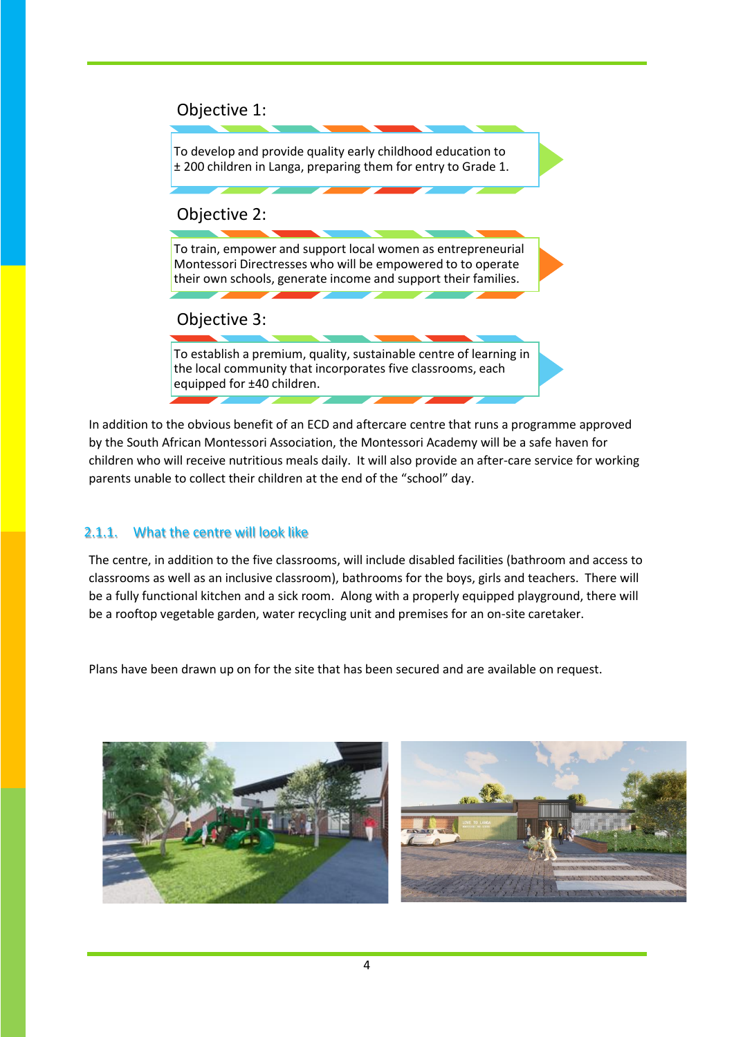#### Objective 1:



In addition to the obvious benefit of an ECD and aftercare centre that runs a programme approved by the South African Montessori Association, the Montessori Academy will be a safe haven for children who will receive nutritious meals daily. It will also provide an after-care service for working parents unable to collect their children at the end of the "school" day.

#### 2.1.1. What the centre will look like

The centre, in addition to the five classrooms, will include disabled facilities (bathroom and access to classrooms as well as an inclusive classroom), bathrooms for the boys, girls and teachers. There will be a fully functional kitchen and a sick room. Along with a properly equipped playground, there will be a rooftop vegetable garden, water recycling unit and premises for an on-site caretaker.

Plans have been drawn up on for the site that has been secured and are available on request.



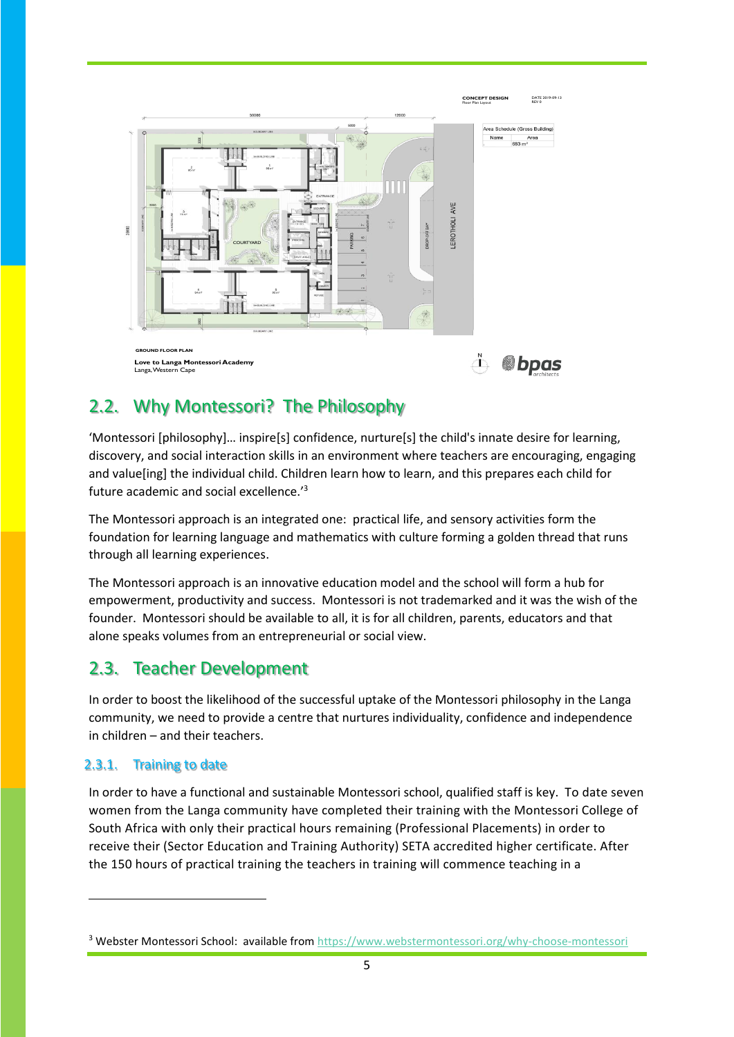

## 2.2. Why Montessori? The Philosophy

'Montessori [philosophy]… inspire[s] confidence, nurture[s] the child's innate desire for learning, discovery, and social interaction skills in an environment where teachers are encouraging, engaging and value[ing] the individual child. Children learn how to learn, and this prepares each child for future academic and social excellence.'<sup>3</sup>

The Montessori approach is an integrated one: practical life, and sensory activities form the foundation for learning language and mathematics with culture forming a golden thread that runs through all learning experiences.

The Montessori approach is an innovative education model and the school will form a hub for empowerment, productivity and success. Montessori is not trademarked and it was the wish of the founder. Montessori should be available to all, it is for all children, parents, educators and that alone speaks volumes from an entrepreneurial or social view.

## 2.3. Teacher Development

In order to boost the likelihood of the successful uptake of the Montessori philosophy in the Langa community, we need to provide a centre that nurtures individuality, confidence and independence in children – and their teachers.

#### 2.3.1. Training to date

In order to have a functional and sustainable Montessori school, qualified staff is key. To date seven women from the Langa community have completed their training with the Montessori College of South Africa with only their practical hours remaining (Professional Placements) in order to receive their (Sector Education and Training Authority) SETA accredited higher certificate. After the 150 hours of practical training the teachers in training will commence teaching in a

<sup>&</sup>lt;sup>3</sup> Webster Montessori School: available fro[m https://www.webstermontessori.org/why-choose-montessori](https://www.webstermontessori.org/why-choose-montessori)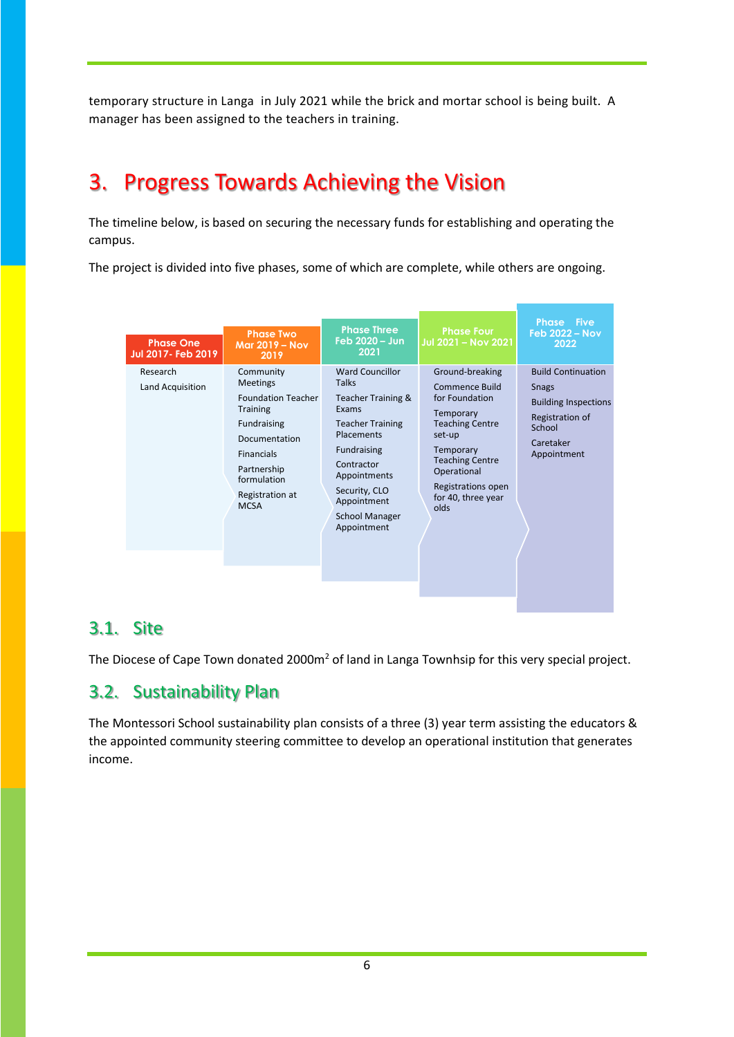temporary structure in Langa in July 2021 while the brick and mortar school is being built. A manager has been assigned to the teachers in training.

## 3. Progress Towards Achieving the Vision

The timeline below, is based on securing the necessary funds for establishing and operating the campus.

The project is divided into five phases, some of which are complete, while others are ongoing.

| <b>Phase One</b><br>Jul 2017- Feb 2019 | <b>Phase Two</b><br><b>Mar 2019 - Nov</b><br>2019                                                                                                                                          | <b>Phase Three</b><br>Feb 2020 - Jun<br>2021                                                                                                                                                                                 | <b>Phase Four</b><br>Jul 2021 – Nov 2021                                                                                                                                                                       | <b>Phase Five</b><br><b>Feb 2022 - Nov</b><br>2022                                                                                |
|----------------------------------------|--------------------------------------------------------------------------------------------------------------------------------------------------------------------------------------------|------------------------------------------------------------------------------------------------------------------------------------------------------------------------------------------------------------------------------|----------------------------------------------------------------------------------------------------------------------------------------------------------------------------------------------------------------|-----------------------------------------------------------------------------------------------------------------------------------|
| Research<br>Land Acquisition           | Community<br>Meetings<br><b>Foundation Teacher</b><br><b>Training</b><br>Fundraising<br>Documentation<br><b>Financials</b><br>Partnership<br>formulation<br>Registration at<br><b>MCSA</b> | Ward Councillor<br>Talks<br>Teacher Training &<br>Exams<br><b>Teacher Training</b><br>Placements<br><b>Fundraising</b><br>Contractor<br>Appointments<br>Security, CLO<br>Appointment<br><b>School Manager</b><br>Appointment | Ground-breaking<br>Commence Build<br>for Foundation<br>Temporary<br><b>Teaching Centre</b><br>set-up<br>Temporary<br><b>Teaching Centre</b><br>Operational<br>Registrations open<br>for 40, three year<br>olds | <b>Build Continuation</b><br><b>Snags</b><br><b>Building Inspections</b><br>Registration of<br>School<br>Caretaker<br>Appointment |

#### 3.1. Site

The Diocese of Cape Town donated 2000m<sup>2</sup> of land in Langa Townhsip for this very special project.

## 3.2. Sustainability Plan

The Montessori School sustainability plan consists of a three (3) year term assisting the educators & the appointed community steering committee to develop an operational institution that generates income.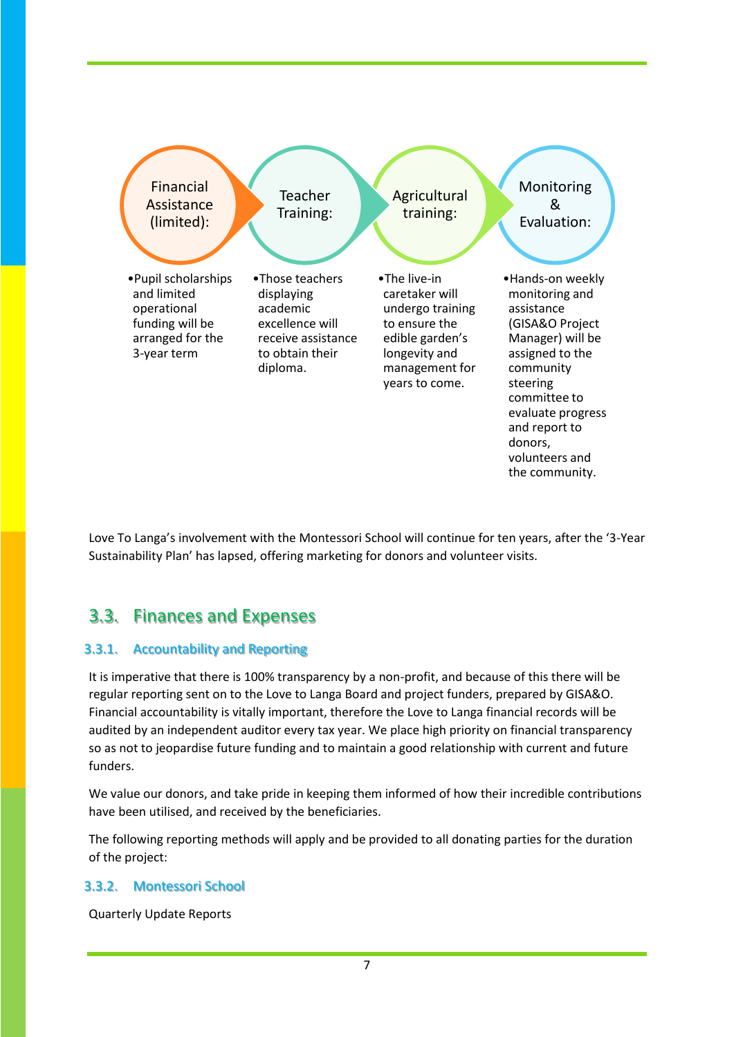

Love To Langa's involvement with the Montessori School will continue for ten years, after the '3-Year Sustainability Plan' has lapsed, offering marketing for donors and volunteer visits.

## 3.3. Finances and Expenses

#### 3.3.1. Accountability and Reporting

It is imperative that there is 100% transparency by a non-profit, and because of this there will be regular reporting sent on to the Love to Langa Board and project funders, prepared by GISA&O. Financial accountability is vitally important, therefore the Love to Langa financial records will be audited by an independent auditor every tax year. We place high priority on financial transparency so as not to jeopardise future funding and to maintain a good relationship with current and future funders.

We value our donors, and take pride in keeping them informed of how their incredible contributions have been utilised, and received by the beneficiaries.

The following reporting methods will apply and be provided to all donating parties for the duration of the project:

#### 3.3.2. Montessori School

Quarterly Update Reports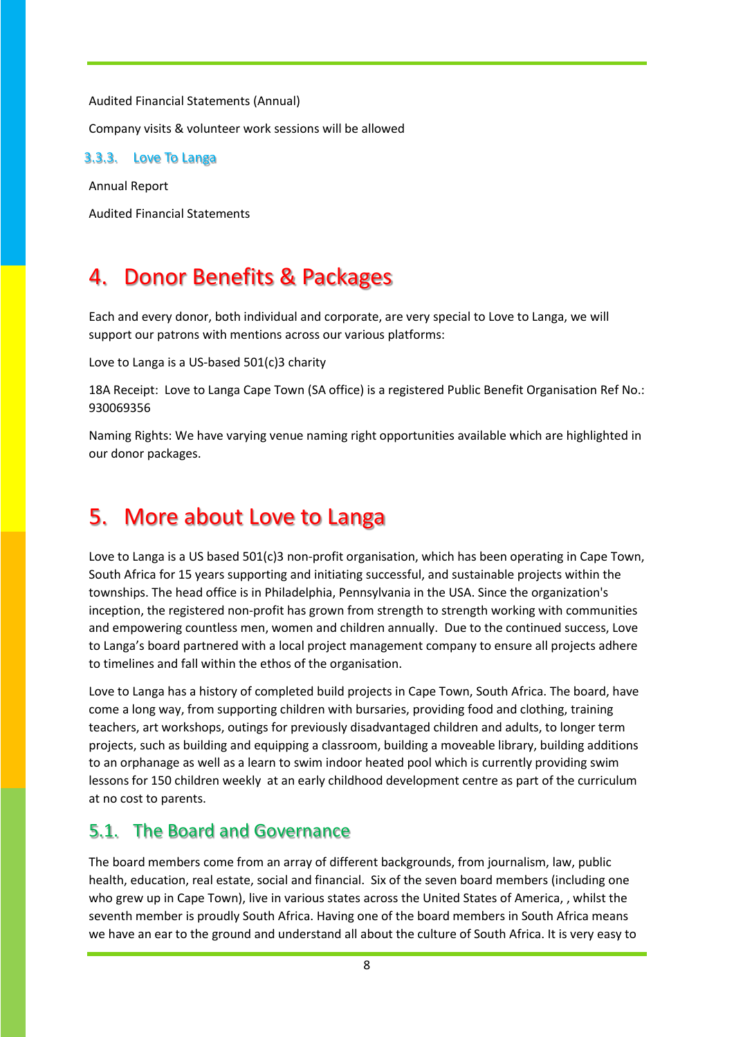Audited Financial Statements (Annual)

Company visits & volunteer work sessions will be allowed

3.3.3. Love To Langa

Annual Report

Audited Financial Statements

## 4. Donor Benefits & Packages

Each and every donor, both individual and corporate, are very special to Love to Langa, we will support our patrons with mentions across our various platforms:

Love to Langa is a US-based 501(c)3 charity

18A Receipt: Love to Langa Cape Town (SA office) is a registered Public Benefit Organisation Ref No.: 930069356

Naming Rights: We have varying venue naming right opportunities available which are highlighted in our donor packages.

## 5. More about Love to Langa

Love to Langa is a US based 501(c)3 non-profit organisation, which has been operating in Cape Town, South Africa for 15 years supporting and initiating successful, and sustainable projects within the townships. The head office is in Philadelphia, Pennsylvania in the USA. Since the organization's inception, the registered non-profit has grown from strength to strength working with communities and empowering countless men, women and children annually. Due to the continued success, Love to Langa's board partnered with a local project management company to ensure all projects adhere to timelines and fall within the ethos of the organisation.

Love to Langa has a history of completed build projects in Cape Town, South Africa. The board, have come a long way, from supporting children with bursaries, providing food and clothing, training teachers, art workshops, outings for previously disadvantaged children and adults, to longer term projects, such as building and equipping a classroom, building a moveable library, building additions to an orphanage as well as a learn to swim indoor heated pool which is currently providing swim lessons for 150 children weekly at an early childhood development centre as part of the curriculum at no cost to parents.

#### 5.1. The Board and Governance

The board members come from an array of different backgrounds, from journalism, law, public health, education, real estate, social and financial. Six of the seven board members (including one who grew up in Cape Town), live in various states across the United States of America, , whilst the seventh member is proudly South Africa. Having one of the board members in South Africa means we have an ear to the ground and understand all about the culture of South Africa. It is very easy to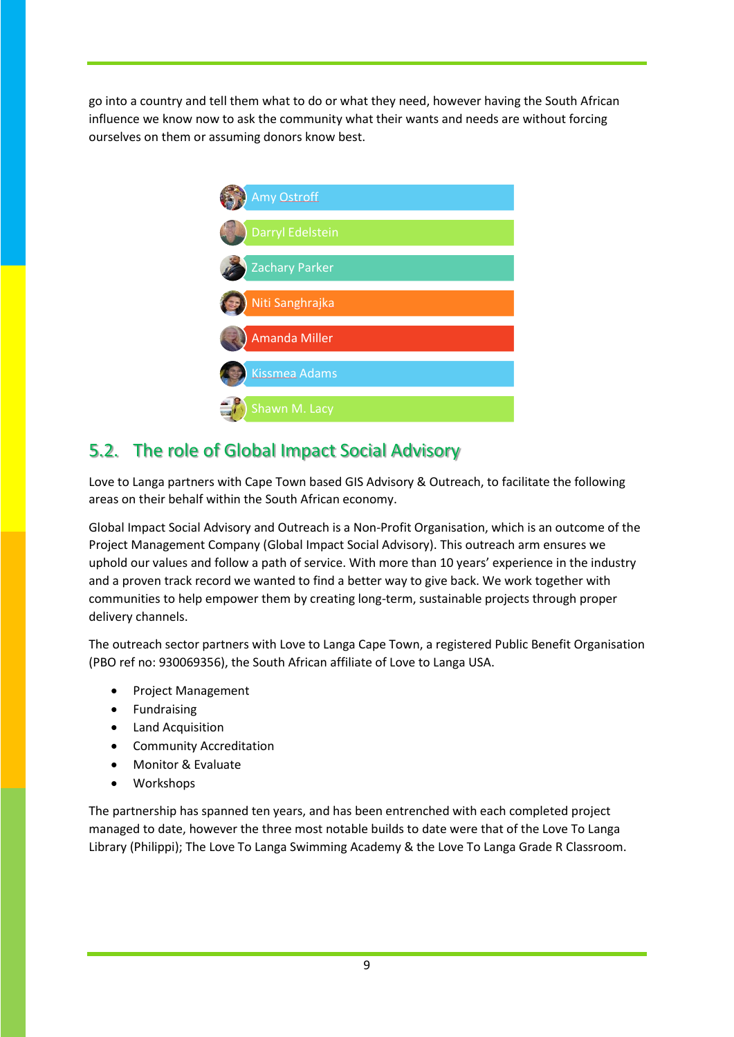go into a country and tell them what to do or what they need, however having the South African influence we know now to ask the community what their wants and needs are without forcing ourselves on them or assuming donors know best.



## 5.2. The role of Global Impact Social Advisory

Love to Langa partners with Cape Town based GIS Advisory & Outreach, to facilitate the following areas on their behalf within the South African economy.

Global Impact Social Advisory and Outreach is a Non-Profit Organisation, which is an outcome of the Project Management Company (Global Impact Social Advisory). This outreach arm ensures we uphold our values and follow a path of service. With more than 10 years' experience in the industry and a proven track record we wanted to find a better way to give back. We work together with communities to help empower them by creating long-term, sustainable projects through proper delivery channels.

The outreach sector partners with Love to Langa Cape Town, a registered Public Benefit Organisation (PBO ref no: 930069356), the South African affiliate of Love to Langa USA.

- Project Management
- Fundraising
- Land Acquisition
- Community Accreditation
- Monitor & Evaluate
- Workshops

The partnership has spanned ten years, and has been entrenched with each completed project managed to date, however the three most notable builds to date were that of the Love To Langa Library (Philippi); The Love To Langa Swimming Academy & the Love To Langa Grade R Classroom.